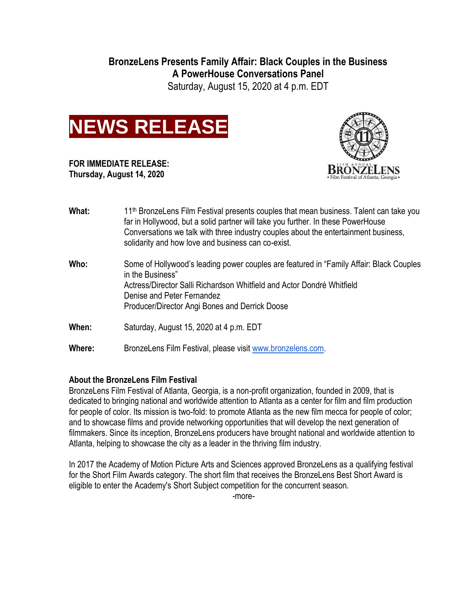**BronzeLens Presents Family Affair: Black Couples in the Business A PowerHouse Conversations Panel** Saturday, August 15, 2020 at 4 p.m. EDT







| What:  | 11 <sup>th</sup> BronzeLens Film Festival presents couples that mean business. Talent can take you<br>far in Hollywood, but a solid partner will take you further. In these PowerHouse<br>Conversations we talk with three industry couples about the entertainment business,<br>solidarity and how love and business can co-exist. |
|--------|-------------------------------------------------------------------------------------------------------------------------------------------------------------------------------------------------------------------------------------------------------------------------------------------------------------------------------------|
| Who:   | Some of Hollywood's leading power couples are featured in "Family Affair: Black Couples<br>in the Business"<br>Actress/Director Salli Richardson Whitfield and Actor Dondré Whitfield<br>Denise and Peter Fernandez<br>Producer/Director Angi Bones and Derrick Doose                                                               |
| When:  | Saturday, August 15, 2020 at 4 p.m. EDT                                                                                                                                                                                                                                                                                             |
| Where: | BronzeLens Film Festival, please visit www.bronzelens.com.                                                                                                                                                                                                                                                                          |

# **About the BronzeLens Film Festival**

BronzeLens Film Festival of Atlanta, Georgia, is a non-profit organization, founded in 2009, that is dedicated to bringing national and worldwide attention to Atlanta as a center for film and film production for people of color. Its mission is two-fold: to promote Atlanta as the new film mecca for people of color; and to showcase films and provide networking opportunities that will develop the next generation of filmmakers. Since its inception, BronzeLens producers have brought national and worldwide attention to Atlanta, helping to showcase the city as a leader in the thriving film industry.

In 2017 the Academy of Motion Picture Arts and Sciences approved BronzeLens as a qualifying festival for the Short Film Awards category. The short film that receives the BronzeLens Best Short Award is eligible to enter the Academy's Short Subject competition for the concurrent season.

-more-